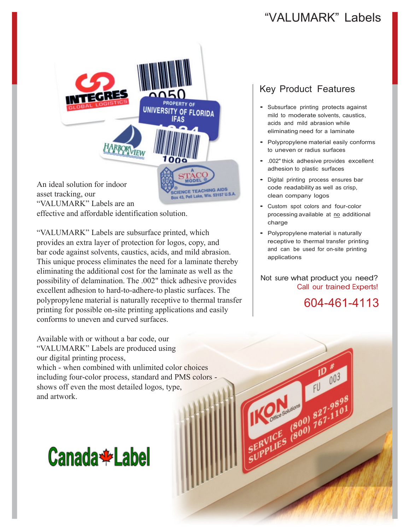## "VALUMARK" Labels



effective and affordable identification solution.

"VALUMARK" Labels are subsurface printed, which provides an extra layer of protection for logos, copy, and bar code against solvents, caustics, acids, and mild abrasion. This unique process eliminates the need for a laminate thereby eliminating the additional cost for the laminate as well as the possibility of delamination. The .002" thick adhesive provides excellent adhesion to hard-to-adhere-to plastic surfaces. The polypropylene material is naturally receptive to thermal transfer printing for possible on-site printing applications and easily conforms to uneven and curved surfaces.

Available with or without a bar code, our "VALUMARK" Labels are produced using our digital printing process, which - when combined with unlimited color choices including four-color process, standard and PMS colors shows off even the most detailed logos, type, and artwork.

# **Canada \*** Label

### Key Product Features

- Subsurface printing protects against mild to moderate solvents, caustics, acids and mild abrasion while eliminating need for a laminate
- Polypropylene material easily conforms to uneven or radius surfaces
- .002" thick adhesive provides excellent adhesion to plastic surfaces
- Digital printing process ensures bar code readability as well as crisp, clean company logos
- Custom spot colors and four-color processing available at no additional charge
- Polypropylene material is naturally receptive to thermal transfer printing and can be used for on-site printing applications

Not sure what product you need? Call our trained Experts!

Office Solution & Contract (BOO)

604-461-4113